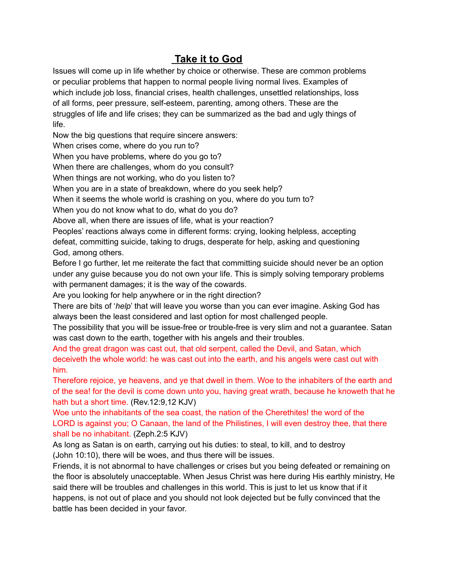# **Take it to God**

Issues will come up in life whether by choice or otherwise. These are common problems or peculiar problems that happen to normal people living normal lives. Examples of which include job loss, financial crises, health challenges, unsettled relationships, loss of all forms, peer pressure, self-esteem, parenting, among others. These are the struggles of life and life crises; they can be summarized as the bad and ugly things of life.

Now the big questions that require sincere answers:

When crises come, where do you run to?

When you have problems, where do you go to?

When there are challenges, whom do you consult?

When things are not working, who do you listen to?

When you are in a state of breakdown, where do you seek help?

When it seems the whole world is crashing on you, where do you turn to?

When you do not know what to do, what do you do?

Above all, when there are issues of life, what is your reaction?

Peoples' reactions always come in different forms: crying, looking helpless, accepting defeat, committing suicide, taking to drugs, desperate for help, asking and questioning God, among others.

Before I go further, let me reiterate the fact that committing suicide should never be an option under any guise because you do not own your life. This is simply solving temporary problems with permanent damages; it is the way of the cowards.

Are you looking for help anywhere or in the right direction?

There are bits of '*help*' that will leave you worse than you can ever imagine. Asking God has always been the least considered and last option for most challenged people.

The possibility that you will be issue-free or trouble-free is very slim and not a guarantee. Satan was cast down to the earth, together with his angels and their troubles.

And the great dragon was cast out, that old serpent, called the Devil, and Satan, which deceiveth the whole world: he was cast out into the earth, and his angels were cast out with him.

Therefore rejoice, ye heavens, and ye that dwell in them. Woe to the inhabiters of the earth and of the sea! for the devil is come down unto you, having great wrath, because he knoweth that he hath but a short time. (Rev.12:9,12 KJV)

Woe unto the inhabitants of the sea coast, the nation of the Cherethites! the word of the LORD is against you; O Canaan, the land of the Philistines, I will even destroy thee, that there shall be no inhabitant. (Zeph.2:5 KJV)

As long as Satan is on earth, carrying out his duties: to steal, to kill, and to destroy (John 10:10), there will be woes, and thus there will be issues.

Friends, it is not abnormal to have challenges or crises but you being defeated or remaining on the floor is absolutely unacceptable. When Jesus Christ was here during His earthly ministry, He said there will be troubles and challenges in this world. This is just to let us know that if it happens, is not out of place and you should not look dejected but be fully convinced that the battle has been decided in your favor.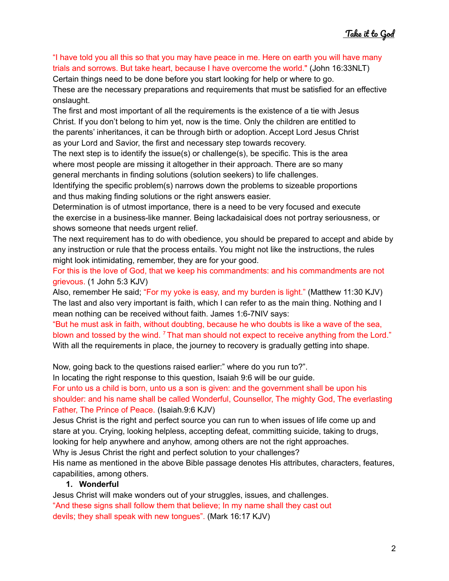"I have told you all this so that you may have peace in me. Here on earth you will have many trials and sorrows. But take heart, because I have overcome the world." (John 16:33NLT)

Certain things need to be done before you start looking for help or where to go.

These are the necessary preparations and requirements that must be satisfied for an effective onslaught.

The first and most important of all the requirements is the existence of a tie with Jesus Christ. If you don't belong to him yet, now is the time. Only the children are entitled to the parents' inheritances, it can be through birth or adoption. Accept Lord Jesus Christ as your Lord and Savior, the first and necessary step towards recovery.

The next step is to identify the issue(s) or challenge(s), be specific. This is the area where most people are missing it altogether in their approach. There are so many general merchants in finding solutions (solution seekers) to life challenges.

Identifying the specific problem(s) narrows down the problems to sizeable proportions and thus making finding solutions or the right answers easier.

Determination is of utmost importance, there is a need to be very focused and execute the exercise in a business-like manner. Being lackadaisical does not portray seriousness, or shows someone that needs urgent relief.

The next requirement has to do with obedience, you should be prepared to accept and abide by any instruction or rule that the process entails. You might not like the instructions, the rules might look intimidating, remember, they are for your good.

For this is the love of God, that we keep his commandments: and his commandments are not grievous. (1 John 5:3 KJV)

Also, remember He said; "For my yoke is easy, and my burden is light." (Matthew 11:30 KJV) The last and also very important is faith, which I can refer to as the main thing. Nothing and I mean nothing can be received without faith. James 1:6-7NIV says:

"But he must ask in faith, without doubting, because he who doubts is like a wave of the sea, blown and tossed by the wind. <sup>7</sup> That man should not expect to receive anything from the Lord." With all the requirements in place, the journey to recovery is gradually getting into shape.

Now, going back to the questions raised earlier:" where do you run to?".

In locating the right response to this question, Isaiah 9:6 will be our guide.

For unto us a child is born, unto us a son is given: and the government shall be upon his shoulder: and his name shall be called Wonderful, Counsellor, The mighty God, The everlasting Father, The Prince of Peace. (Isaiah.9:6 KJV)

Jesus Christ is the right and perfect source you can run to when issues of life come up and stare at you. Crying, looking helpless, accepting defeat, committing suicide, taking to drugs, looking for help anywhere and anyhow, among others are not the right approaches.

Why is Jesus Christ the right and perfect solution to your challenges?

His name as mentioned in the above Bible passage denotes His attributes, characters, features, capabilities, among others.

#### **1. Wonderful**

Jesus Christ will make wonders out of your struggles, issues, and challenges. "And these signs shall follow them that believe; In my name shall they cast out devils; they shall speak with new tongues". (Mark 16:17 KJV)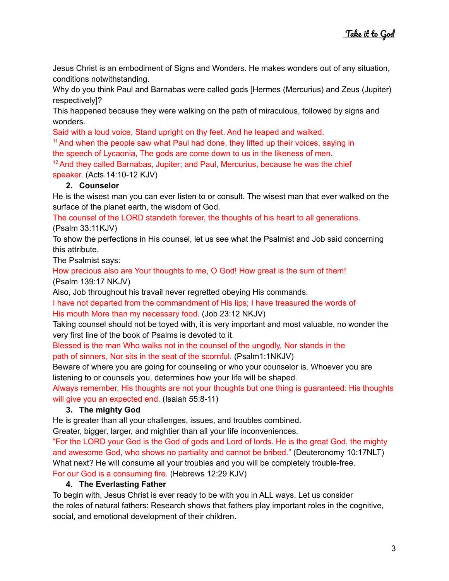Jesus Christ is an embodiment of Signs and Wonders. He makes wonders out of any situation, conditions notwithstanding.

Why do you think Paul and Barnabas were called gods [Hermes (Mercurius) and Zeus (Jupiter) respectively]?

This happened because they were walking on the path of miraculous, followed by signs and wonders.

Said with a loud voice, Stand upright on thy feet. And he leaped and walked.

<sup>11</sup> And when the people saw what Paul had done, they lifted up their voices, saying in the speech of Lycaonia, The gods are come down to us in the likeness of men.

 $12$  And they called Barnabas, Jupiter; and Paul, Mercurius, because he was the chief speaker. (Acts.14:10-12 KJV)

#### **2. Counselor**

He is the wisest man you can ever listen to or consult. The wisest man that ever walked on the surface of the planet earth, the wisdom of God.

The counsel of the LORD standeth forever, the thoughts of his heart to all generations. (Psalm 33:11KJV)

To show the perfections in His counsel, let us see what the Psalmist and Job said concerning this attribute.

The Psalmist says:

How precious also are Your thoughts to me, O God! How great is the sum of them! (Psalm 139:17 NKJV)

Also, Job throughout his travail never regretted obeying His commands.

I have not departed from the commandment of His lips; I have treasured the words of His mouth More than my necessary food. (Job 23:12 NKJV)

Taking counsel should not be toyed with, it is very important and most valuable, no wonder the very first line of the book of Psalms is devoted to it.

Blessed is the man Who walks not in the counsel of the ungodly, Nor stands in the path of sinners, Nor sits in the seat of the scornful. (Psalm1:1NKJV)

Beware of where you are going for counseling or who your counselor is. Whoever you are listening to or counsels you, determines how your life will be shaped.

Always remember, His thoughts are not your thoughts but one thing is guaranteed: His thoughts will give you an expected end. (Isaiah 55:8-11)

### **3. The mighty God**

He is greater than all your challenges, issues, and troubles combined.

Greater, bigger, larger, and mightier than all your life inconveniences.

"For the LORD your God is the God of gods and Lord of lords. He is the great God, the mighty and awesome God, who shows no partiality and cannot be bribed." (Deuteronomy 10:17NLT) What next? He will consume all your troubles and you will be completely trouble-free. For our God is a consuming fire. (Hebrews 12:29 KJV)

#### **4. The Everlasting Father**

To begin with, Jesus Christ is ever ready to be with you in ALL ways. Let us consider the roles of natural fathers: Research shows that fathers play important roles in the cognitive, social, and emotional development of their children.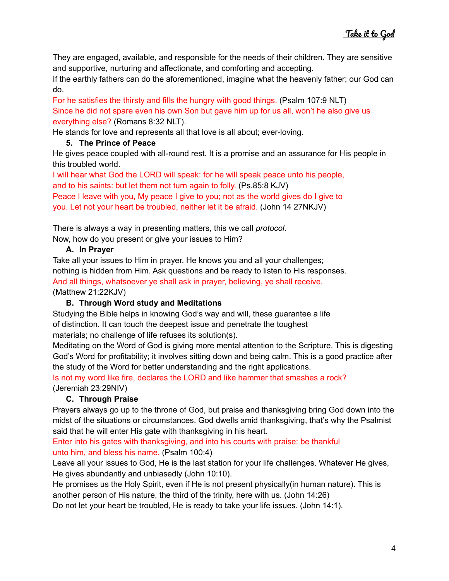They are engaged, available, and responsible for the needs of their children. They are sensitive and supportive, nurturing and affectionate, and comforting and accepting.

If the earthly fathers can do the aforementioned, imagine what the heavenly father; our God can do.

For he satisfies the thirsty and fills the hungry with good things. (Psalm 107:9 NLT) Since he did not spare even his own Son but gave him up for us all, won't he also give us everything else? (Romans 8:32 NLT).

He stands for love and represents all that love is all about; ever-loving.

#### **5. The Prince of Peace**

He gives peace coupled with all-round rest. It is a promise and an assurance for His people in this troubled world.

I will hear what God the LORD will speak: for he will speak peace unto his people, and to his saints: but let them not turn again to folly. (Ps.85:8 KJV)

Peace I leave with you, My peace I give to you; not as the world gives do I give to you. Let not your heart be troubled, neither let it be afraid. (John 14 27NKJV)

There is always a way in presenting matters, this we call *protocol*. Now, how do you present or give your issues to Him?

## **A. In Prayer**

Take all your issues to Him in prayer. He knows you and all your challenges; nothing is hidden from Him. Ask questions and be ready to listen to His responses. And all things, whatsoever ye shall ask in prayer, believing, ye shall receive. (Matthew 21:22KJV)

## **B. Through Word study and Meditations**

Studying the Bible helps in knowing God's way and will, these guarantee a life of distinction. It can touch the deepest issue and penetrate the toughest materials; no challenge of life refuses its solution(s).

Meditating on the Word of God is giving more mental attention to the Scripture. This is digesting God's Word for profitability; it involves sitting down and being calm. This is a good practice after the study of the Word for better understanding and the right applications.

Is not my word like fire, declares the LORD and like hammer that smashes a rock? (Jeremiah 23:29NIV)

## **C. Through Praise**

Prayers always go up to the throne of God, but praise and thanksgiving bring God down into the midst of the situations or circumstances. God dwells amid thanksgiving, that's why the Psalmist said that he will enter His gate with thanksgiving in his heart.

Enter into his gates with thanksgiving, and into his courts with praise: be thankful unto him, and bless his name. (Psalm 100:4)

Leave all your issues to God, He is the last station for your life challenges. Whatever He gives, He gives abundantly and unbiasedly (John 10:10).

He promises us the Holy Spirit, even if He is not present physically(in human nature). This is another person of His nature, the third of the trinity, here with us. (John 14:26)

Do not let your heart be troubled, He is ready to take your life issues. (John 14:1).